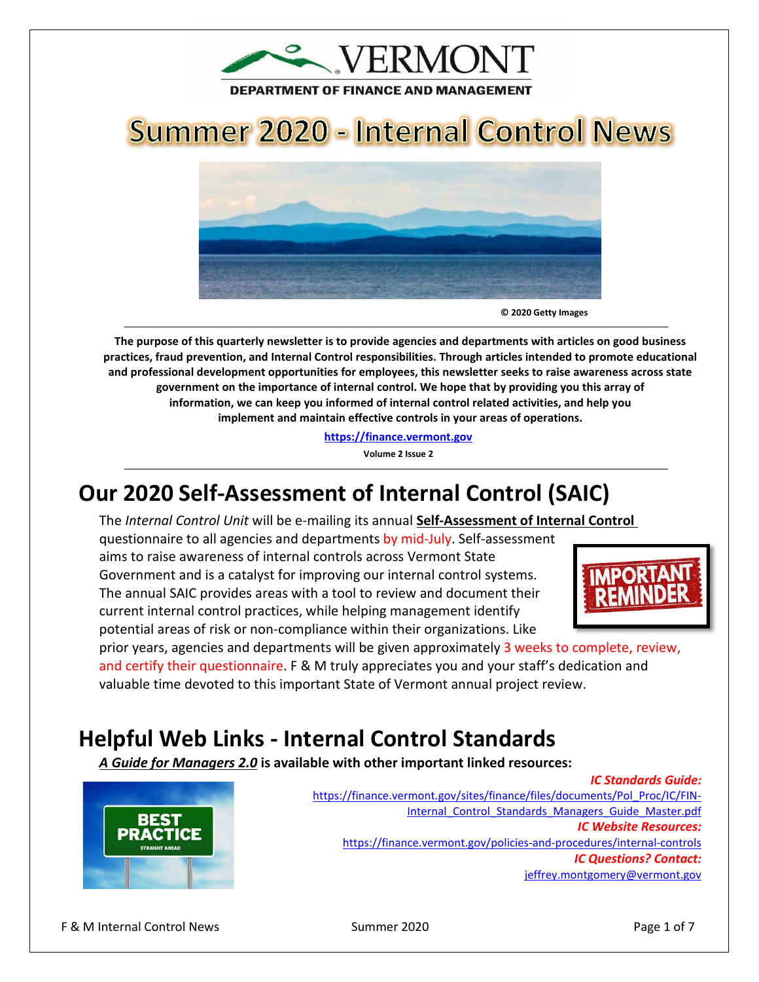

# **Summer 2020 - Internal Control News**



**© 2020 Getty Images** 

**The purpose of this quarterly newsletter is to provide agencies and departments with articles on good business practices, fraud prevention, and Internal Control responsibilities. Through articles intended to promote educational and professional development opportunities for employees, this newsletter seeks to raise awareness across state government on the importance of internal control. We hope that by providing you this array of information, we can keep you informed of internal control related activities, and help you implement and maintain effective controls in your areas of operations.**

**[https://finance.vermont.gov](https://finance.vermont.gov/)**

**Volume 2 Issue 2**

# **Our 2020 Self-Assessment of Internal Control (SAIC)**

The *Internal Control Unit* will be e-mailing its annual **Self-Assessment of Internal Control**

questionnaire to all agencies and departments by mid-July. Self-assessment aims to raise awareness of internal controls across Vermont State Government and is a catalyst for improving our internal control systems. The annual SAIC provides areas with a tool to review and document their current internal control practices, while helping management identify potential areas of risk or non-compliance within their organizations. Like



prior years, agencies and departments will be given approximately 3 weeks to complete, review, and certify their questionnaire. F & M truly appreciates you and your staff's dedication and valuable time devoted to this important State of Vermont annual project review.

## **Helpful Web Links - Internal Control Standards**

*A Guide for Managers 2.0* **is available with other important linked resources:** 



*IC Standards Guide:* [https://finance.vermont.gov/sites/finance/files/documents/Pol\\_Proc/IC/FIN-](https://finance.vermont.gov/sites/finance/files/documents/Pol_Proc/IC/FIN-Internal_Control_Standards_Managers_Guide_Master.pdf)Internal Control Standards Managers Guide Master.pdf *IC Website Resources:*  <https://finance.vermont.gov/policies-and-procedures/internal-controls> *IC Questions? Contact:* [jeffrey.montgomery@vermont.gov](mailto:jeffrey.montgomery@vermont.gov)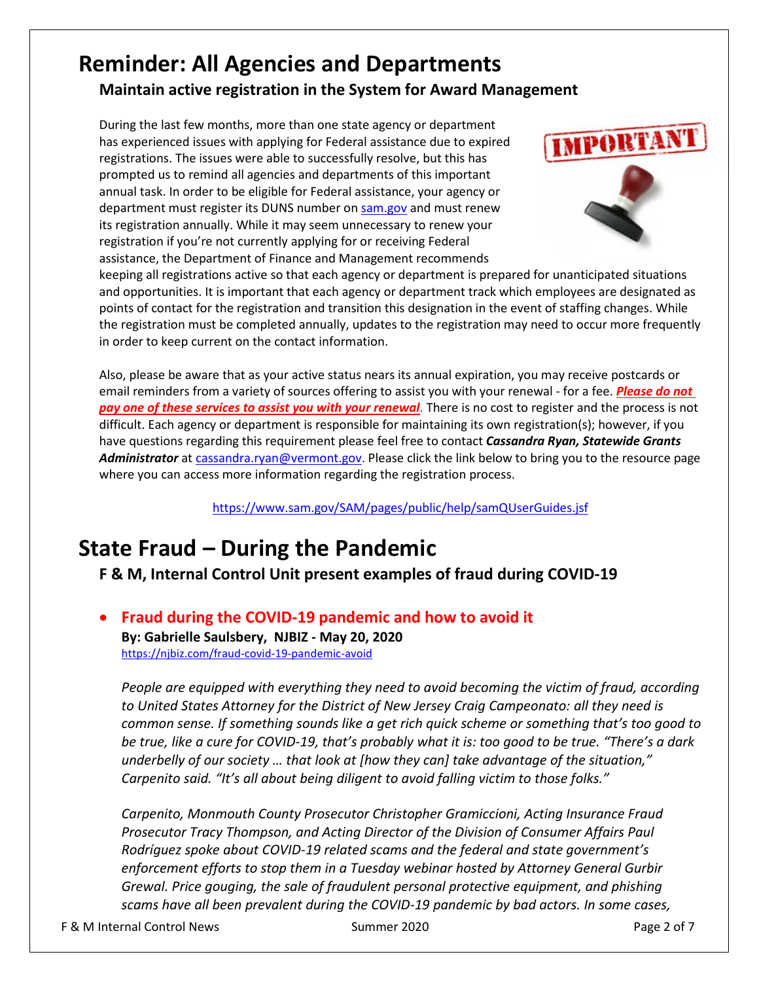#### **Reminder: All Agencies and Departments Maintain active registration in the System for Award Management**

During the last few months, more than one state agency or department has experienced issues with applying for Federal assistance due to expired registrations. The issues were able to successfully resolve, but this has prompted us to remind all agencies and departments of this important annual task. In order to be eligible for Federal assistance, your agency or department must register its DUNS number on [sam.gov](http://www.sam.gov/) and must renew its registration annually. While it may seem unnecessary to renew your registration if you're not currently applying for or receiving Federal assistance, the Department of Finance and Management recommends



keeping all registrations active so that each agency or department is prepared for unanticipated situations and opportunities. It is important that each agency or department track which employees are designated as points of contact for the registration and transition this designation in the event of staffing changes. While the registration must be completed annually, updates to the registration may need to occur more frequently in order to keep current on the contact information.

Also, please be aware that as your active status nears its annual expiration, you may receive postcards or email reminders from a variety of sources offering to assist you with your renewal - for a fee. *Please do not pay one of these services to assist you with your renewal*. There is no cost to register and the process is not difficult. Each agency or department is responsible for maintaining its own registration(s); however, if you have questions regarding this requirement please feel free to contact *Cassandra Ryan, Statewide Grants Administrator* at [cassandra.ryan@vermont.gov.](mailto:cassandra.ryan@vermont.gov) Please click the link below to bring you to the resource page where you can access more information regarding the registration process.

<https://www.sam.gov/SAM/pages/public/help/samQUserGuides.jsf>

### **State Fraud – During the Pandemic**

**F & M, Internal Control Unit present examples of fraud during COVID-19**

#### • **Fraud during the COVID-19 pandemic and how to avoid it By: [Gabrielle Saulsbery, N](mailto:gsaulsbery@njbiz.com)JBIZ - May 20, 2020**  <https://njbiz.com/fraud-covid-19-pandemic-avoid>

*People are equipped with everything they need to avoid becoming the victim of fraud, according to United States Attorney for the District of New Jersey Craig Campeonato: all they need is common sense. If something sounds like a get rich quick scheme or something that's too good to be true, like a cure for COVID-19, that's probably what it is: too good to be true. "There's a dark underbelly of our society … that look at [how they can] take advantage of the situation," Carpenito said. "It's all about being diligent to avoid falling victim to those folks."*

*Carpenito, Monmouth County Prosecutor Christopher Gramiccioni, Acting Insurance Fraud Prosecutor Tracy Thompson, and Acting Director of the Division of Consumer Affairs Paul Rodríguez spoke about COVID-19 related scams and the federal and state government's enforcement efforts to stop them in a Tuesday webinar hosted by Attorney General Gurbir Grewal. [Price gouging, the sale of fraudulent personal protective equipment, and phishing](https://njbiz.com/grewal-600-actions-price-gouging-covid-19-related-consumer-complaints/)  [scams](https://njbiz.com/grewal-600-actions-price-gouging-covid-19-related-consumer-complaints/) have all been prevalent during the COVID-19 pandemic by bad actors. In some cases,*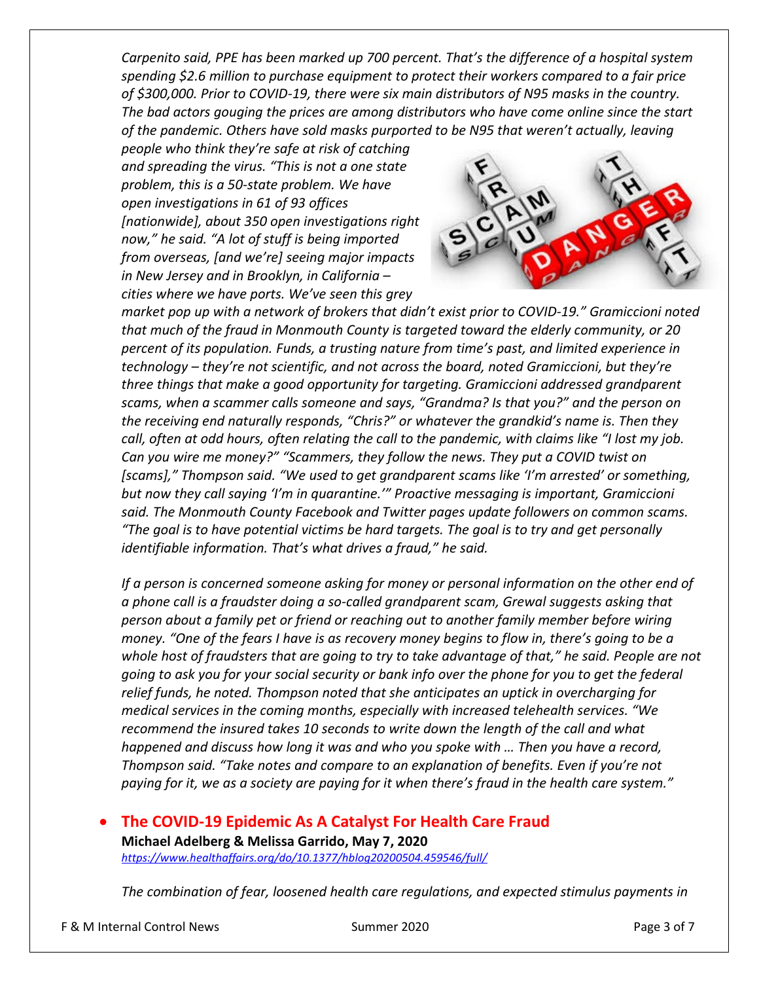*Carpenito said, PPE has been marked up 700 percent. That's the difference of a hospital system spending \$2.6 million to purchase equipment to protect their workers compared to a fair price of \$300,000. Prior to COVID-19, there were six main distributors of N95 masks in the country. The bad actors gouging the prices are among distributors who have come online since the start of the pandemic. Others have sold masks purported to be N95 that weren't actually, leaving* 

*people who think they're safe at risk of catching and spreading the virus. "This is not a one state problem, this is a 50-state problem. We have open investigations in 61 of 93 offices [nationwide], about 350 open investigations right now," he said. "A lot of stuff is being imported from overseas, [and we're] seeing major impacts in New Jersey and in Brooklyn, in California – cities where we have ports. We've seen this grey* 



*market pop up with a network of brokers that didn't exist prior to COVID-19." Gramiccioni noted that much of the fraud in Monmouth County is targeted toward the elderly community, or 20 percent of its population. Funds, a trusting nature from time's past, and limited experience in technology – they're not scientific, and not across the board, noted Gramiccioni, but they're three things that make a good opportunity for targeting. Gramiccioni addressed grandparent scams, when a scammer calls someone and says, "Grandma? Is that you?" and the person on the receiving end naturally responds, "Chris?" or whatever the grandkid's name is. Then they call, often at odd hours, often relating the call to the pandemic, with claims like "I lost my job. Can you wire me money?" "Scammers, they follow the news. They put a COVID twist on [scams]," Thompson said. "We used to get grandparent scams like 'I'm arrested' or something, but now they call saying 'I'm in quarantine.'" Proactive messaging is important, Gramiccioni said. The Monmouth County Facebook and Twitter pages update followers on common scams. "The goal is to have potential victims be hard targets. The goal is to try and get personally identifiable information. That's what drives a fraud," he said.*

*If a person is concerned someone asking for money or personal information on the other end of a phone call is a fraudster doing a so-called grandparent scam, Grewal suggests asking that person about a family pet or friend or reaching out to another family member before wiring money. "One of the fears I have is as recovery money begins to flow in, there's going to be a whole host of fraudsters that are going to try to take advantage of that," he said. People are not going to ask you for your social security or bank info over the phone for you to get the federal relief funds, he noted. Thompson noted that she anticipates an uptick in overcharging for medical services in the coming months, especially with increased telehealth services. "We recommend the insured takes 10 seconds to write down the length of the call and what happened and discuss how long it was and who you spoke with … Then you have a record, Thompson said. "Take notes and compare to an explanation of benefits. Even if you're not paying for it, we as a society are paying for it when there's fraud in the health care system."*

#### • **The COVID-19 Epidemic As A Catalyst For Health Care Fraud**

**Michael Adelberg & Melissa Garrido, May 7, 2020**  *<https://www.healthaffairs.org/do/10.1377/hblog20200504.459546/full/>*

*The combination of fear, loosened health care regulations, and expected stimulus payments in*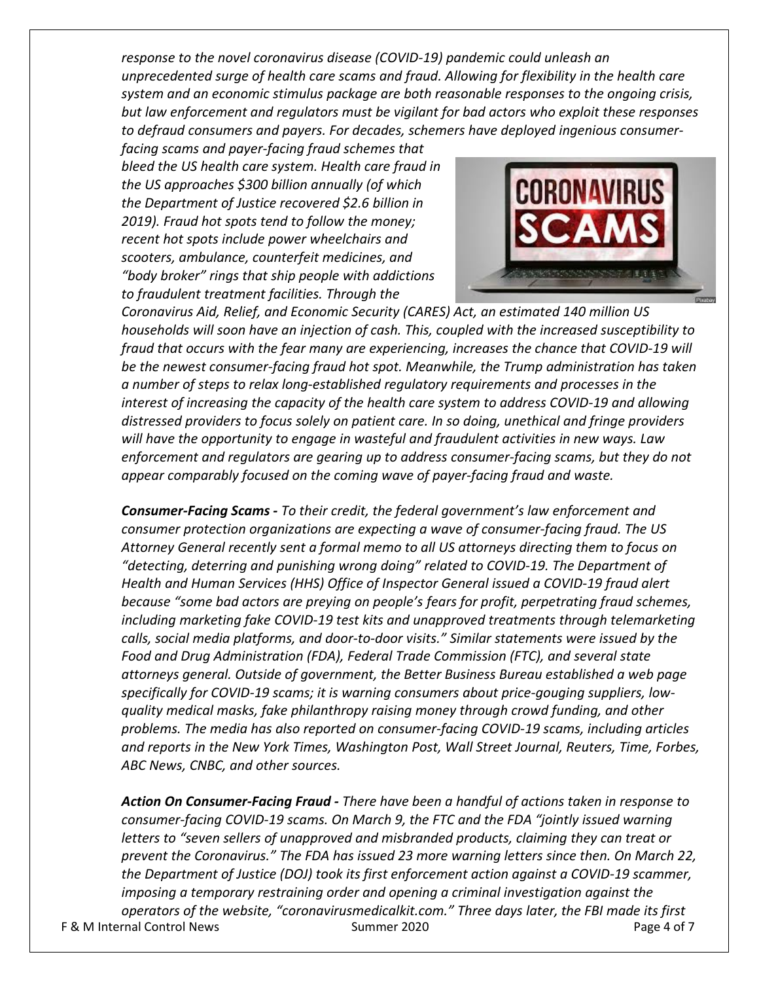*response to the novel coronavirus disease (COVID-19) pandemic could unleash an unprecedented surge of health care scams and fraud. Allowing for flexibility in the health care system and an economic stimulus package are both reasonable responses to the ongoing crisis, but law enforcement and regulators must be vigilant for bad actors who exploit these responses to defraud consumers and payers. For decades, schemers have deployed ingenious consumer-*

*facing scams and payer-facing fraud schemes that bleed the US health care system. Health care fraud in the US [approaches](https://www.nhcaa.org/resources/health-care-anti-fraud-resources/the-challenge-of-health-care-fraud/) \$300 billion annually (of which the Department of Justice [recovered](https://www.justice.gov/opa/pr/justice-department-recovers-over-3-billion-false-claims-act-cases-fiscal-year-2019) \$2.6 billion in 2019). Fraud hot spots tend to follow the money; recent hot spots include [power wheelchairs](https://www.washingtonpost.com/sf/national/2014/08/16/a-medicare-scam-that-just-kept-rolling/) and scooters, [ambulance,](https://www.smpresource.org/Content/Medicare-Fraud/Fraud-Schemes/Ambulance-Fraud.aspx) [counterfeit medicines,](https://www.fda.gov/drugs/buying-using-medicine-safely/counterfeit-medicine) and ["body broker"](https://www.healthaffairs.org/do/10.1377/hblog20180423.449595/full/) rings that ship people with addictions to fraudulent treatment facilities. Through the* 



*Coronavirus Aid, Relief, and Economic Security (CARES) Act, an [estimated](https://www.marketwatch.com/story/will-you-receive-a-direct-payment-from-2-trillion-bill-passed-by-senate-wednesday-depends-on-how-much-you-earn-2020-03-26) 140 million US households will soon have an injection of cash. This, coupled with the increased [susceptibility](https://www.ncbi.nlm.nih.gov/pmc/articles/PMC6005691/) to fraud that occurs with the fear many are experiencing, increases the chance that COVID-19 will be the newest consumer-facing fraud hot spot. Meanwhile, the Trump administration has taken a number of steps to relax long-established regulatory requirements and processes in the interest of [increasing the capacity](https://www.cms.gov/medicare/quality-safety-oversight-general-information/coronavirus) of the health care system to address COVID-19 and allowing distressed providers to focus solely on patient care. In so doing, unethical and fringe providers will have the opportunity to engage in wasteful and fraudulent activities in new ways. Law enforcement and regulators are gearing up to address consumer-facing scams, but they do not appear comparably focused on the coming wave of payer-facing fraud and waste.*

*Consumer-Facing Scams - To their credit, the federal government's law enforcement and consumer protection organizations are expecting a wave of consumer-facing fraud. The US Attorney General recently sent a [formal memo](https://www.justice.gov/ag/page/file/1258676/download) to all US attorneys directing them to focus on "detecting, deterring and punishing wrong doing" related to COVID-19. The Department of Health and Human Services (HHS) Office of Inspector General [issued](https://oig.hhs.gov/coronavirus/index.asp?utm_source=web&utm_medium=web&utm_campaign=covid19-landing-page) a COVID-19 fraud alert because "some bad actors are preying on people's fears for profit, perpetrating fraud schemes, including marketing fake COVID-19 test kits and unapproved treatments through telemarketing calls, social media platforms, and door-to-door visits." Similar statements were issued by the [Food and Drug Administration](https://www.fda.gov/consumers/consumer-updates/beware-fraudulent-coronavirus-tests-vaccines-and-treatments) (FDA), [Federal Trade Commission](https://www.consumer.ftc.gov/features/coronavirus-scams-what-ftc-doing) (FTC), and several state [attorneys general.](http://myfloridalegal.com/__852562220065EE67.nsf/0/51A5E0C2B1E62E3785258535004EB276?Open&Highlight=0,covid) Outside of government, the Better Business Bureau established a [web page](https://www.bbb.org/council/coronavirus/) specifically for COVID-19 scams; it is warning consumers about price-gouging suppliers, lowquality medical masks, fake philanthropy raising money through crowd funding, and other problems. The media has also reported on consumer-facing COVID-19 scams, including articles and reports in the [New York Times,](https://www.nytimes.com/2020/03/24/business/coronavirus-ecommerce-sites.html?utm_campaign=KHN%3A%20First%20Edition&utm_source=hs_email&utm_medium=email&utm_content=85228532&_hsenc=p2ANqtz-9lOfwbghfBPXGHpd7XktMkpg2xJKhVamY7IURRPNOyD5XLGyBdJPn_nfhA_7Q84dN-vNO8CoP1KcTKJNmp9_IDQDNmQ406gHPRwNrHgJp4hVdvvHc&_hsmi=85228532) [Washington Post,](https://www.washingtonpost.com/news/powerpost/paloma/the-cybersecurity-202/2020/04/01/the-cybersecurity-202-coronavirus-pandemic-unleashes-unprecedented-number-of-online-scams/5e83799b88e0fa101a757098/) [Wall Street Journal,](https://www.wsj.com/articles/fda-warns-consumers-against-at-home-coronavirus-tests-11585005915) [Reuters,](https://www.reuters.com/article/us-health-coronavirus-retailers-states-idUSKBN21C2NF?utm_campaign=KHN%3A%20First%20Edition&utm_source=hs_email&utm_medium=email&utm_content=85295010&_hsenc=p2ANqtz--4Hcd3ymwyKmgA_QtUqvdE5tPIFqxy361bP9IDiv0igyoJp8IMGnwGyh6pbeUZTkUg_eP_lZCfiLjU7Us0RCcR2xn2Lozh4jwByLwxY7-BQSDYjj0&_hsmi=85295010) [Time,](https://time.com/5806518/covid-19-scams/) [Forbes,](https://www.forbes.com/sites/thomasbrewster/2020/03/18/coronavirus-scam-alert-covid-19-map-malware-can-spy-on-you-through-your-android-microphone-and-camera/#32ef573c75fd) [ABC News,](https://abcnews.go.com/US/online-scammers-target-vulnerable-internet-users-coronavirus-outbreak/story?id=69675134) [CNBC,](https://www.cnbc.com/2020/03/19/what-to-know-about-scams-looking-to-cash-in-on-1000-dollar-covid-19-check.html) and other sources.*

F & M Internal Control News Summer 2020 Page 4 of 7 *Action On Consumer-Facing Fraud - There have been a handful of actions taken in response to consumer-facing COVID-19 scams. On March 9, the FTC and the FDA "jointly issued [warning](https://www.consumer.ftc.gov/blog/2020/03/ftc-fda-warnings-sent-sellers-scam-coronavirus-treatments)  [letters](https://www.consumer.ftc.gov/blog/2020/03/ftc-fda-warnings-sent-sellers-scam-coronavirus-treatments) to "seven sellers of unapproved and misbranded products, claiming they can treat or prevent the Coronavirus." The FDA has [issued](https://www.fda.gov/consumers/health-fraud-scams/fraudulent-coronavirus-disease-2019-covid-19-products#Warning%20Letter%20Table) 23 more warning letters since then. On March 22, the Department of Justice (DOJ) took its first [enforcement action](https://www.justice.gov/opa/pr/justice-department-files-its-first-enforcement-action-against-covid-19-fraud) against a COVID-19 scammer, imposing a temporary restraining order and opening a criminal investigation against the operators of the website, "coronavirusmedicalkit.com." Three days later, the FBI made its first*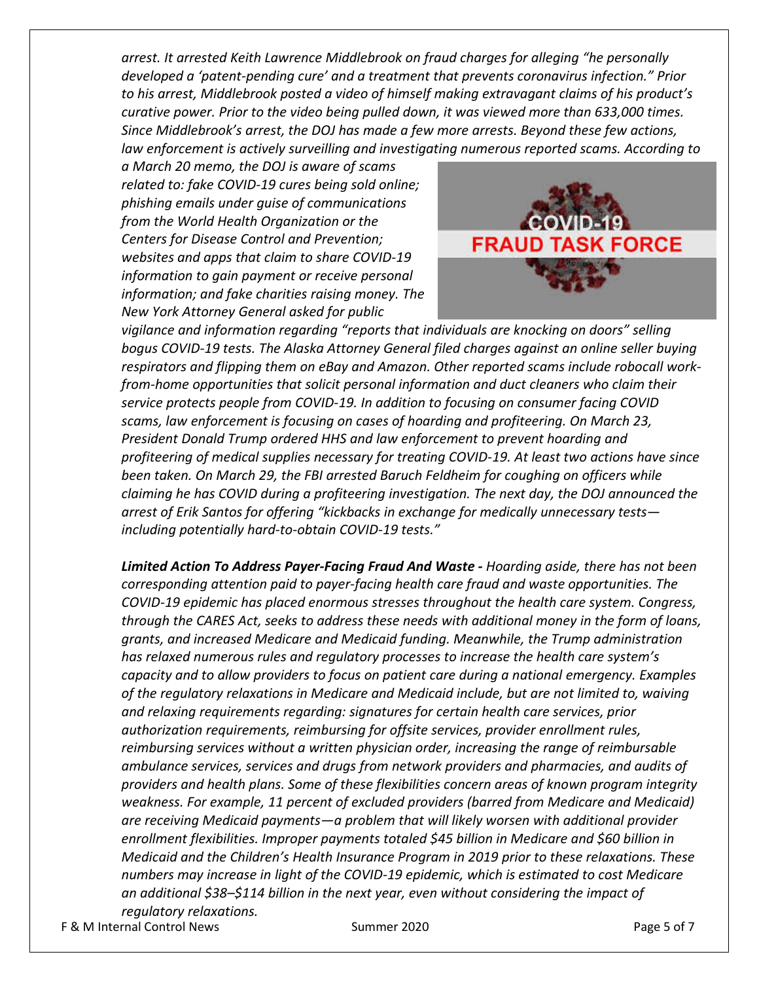*arrest. It [arrested](https://www.justice.gov/usao-cdca/pr/southland-man-arrested-federal-charges-alleging-fraudulent-investment-scheme-featuring) Keith Lawrence Middlebrook on fraud charges for alleging "he personally developed a 'patent-pending cure' and a treatment that prevents coronavirus infection." Prior to his arrest, Middlebrook posted a video of himself making extravagant claims of his product's curative power. Prior to the video being pulled down, it was viewed more than 633,000 times. Since Middlebrook's arrest, the DOJ has made a few more arrests. Beyond these few actions, law enforcement is actively surveilling and investigating numerous reported scams. According to* 

*a March 20 memo, the DOJ [is aware](https://www.justice.gov/opa/pr/attorney-general-william-p-barr-urges-american-public-report-covid-19-fraud) of scams related to: fake COVID-19 cures being sold online; phishing emails under guise of communications from the World Health Organization or the Centers for Disease Control and Prevention; websites and apps that claim to share COVID-19 information to gain payment or receive personal information; and fake charities raising money. The New York Attorney General [asked](https://ag.ny.gov/press-release/2020/ag-james-issues-alert-protect-otsego-county-new-coronavirus-scam) for public* 



*vigilance and information regarding "reports that individuals are knocking on doors" selling bogus COVID-19 tests. The Alaska Attorney General [filed charges](http://www.law.state.ak.us/press/releases/2020/040120-Aune.html) against an online seller buying respirators and flipping them on eBay and Amazon. Other reported scams include robocall workfrom-home opportunities that [solicit](https://www.cnbc.com/2020/03/19/what-to-know-about-scams-looking-to-cash-in-on-1000-dollar-covid-19-check.html) personal information and duct cleaners who [claim](https://www.cnbc.com/2020/03/19/what-to-know-about-scams-looking-to-cash-in-on-1000-dollar-covid-19-check.html) their service protects people from COVID-19. In addition to focusing on consumer facing COVID scams, law enforcement is focusing on cases of hoarding and profiteering. On March 23, President Donald Trump [ordered](https://www.hhs.gov/sites/default/files/hhs-dfa-notice-of-scarce-materials-for-hoarding-prevention.pdf) HHS and law enforcement to prevent hoarding and profiteering of medical supplies necessary for treating COVID-19. At least two actions have since been taken. On March 29, the FBI [arrested](https://www.bloomberg.com/news/articles/2020-03-30/suspected-mask-profiteer-arrested-for-coughing-on-fbi-agents) Baruch Feldheim for coughing on officers while claiming he has COVID during a profiteering investigation. The next day, the DOJ announced the arrest of Erik Santos for [offering](https://www.justice.gov/usao-nj/pr/georgia-man-arrested-orchestrating-scheme-defraud-health-care-benefit-programs-related) "kickbacks in exchange for medically unnecessary tests including potentially hard-to-obtain COVID-19 tests."*

*Limited Action To Address Payer-Facing Fraud And Waste - Hoarding aside, there has not been corresponding attention paid to payer-facing health care fraud and waste opportunities. The COVID-19 epidemic has placed enormous stresses throughout the health care system. Congress, through the CARES Act[, seeks](https://www.aha.org/special-bulletin/2020-03-26-senate-passes-coronavirus-aid-relief-and-economic-security-cares-act) to address these needs with additional money in the form of loans, grants, and increased Medicare and Medicaid funding. Meanwhile, the Trump administration has relaxed numerous rules and regulatory processes to increase the health care system's capacity and to allow providers to focus on patient care during a national emergency. Examples of the regulatory relaxations in Medicare and Medicaid include, but are not limited to, waiving and relaxing requirements regarding: [signatures](https://www.cms.gov/newsroom/press-releases/cms-approves-medicaid-section-1135-waivers-11-additional-states-response-covid-19) for certain health care services, [prior](https://www.cms.gov/newsroom/press-releases/cms-approves-medicaid-section-1135-waivers-11-additional-states-response-covid-19)  [authorization](https://www.cms.gov/newsroom/press-releases/cms-approves-medicaid-section-1135-waivers-11-additional-states-response-covid-19) requirements, reimbursing for [offsite](https://www.cms.gov/newsroom/fact-sheets/additional-backgroundsweeping-regulatory-changes-help-us-healthcare-system-address-covid-19-patient) services[, provider enrollment](https://www.cms.gov/files/document/provider-enrollment-relief-faqs-covid-19.pdf) rules, reimbursing services without a written [physician order,](https://www.cms.gov/newsroom/fact-sheets/additional-backgroundsweeping-regulatory-changes-help-us-healthcare-system-address-covid-19-patient) increasing the range of reimbursable [ambulance](https://www.cms.gov/newsroom/fact-sheets/additional-backgroundsweeping-regulatory-changes-help-us-healthcare-system-address-covid-19-patient) services, services and drugs from [network](https://www.cms.gov/files/document/hpms-memo-covid-information-plans.pdf) providers and pharmacies, and [audits](https://www.cms.gov/newsroom/fact-sheets/additional-backgroundsweeping-regulatory-changes-help-us-healthcare-system-address-covid-19-patient) of providers and health plans. Some of these flexibilities concern areas of known program integrity weakness. For example, 11 percent of excluded providers (barred from Medicare and Medicaid) are receiving Medicaid payments—a problem that will likely worsen with additional provider enrollment flexibilities. [Improper payments](https://www.cms.gov/newsroom/fact-sheets/2019-estimated-improper-payment-rates-centers-medicare-medicaid-services-cms-programs) totaled \$45 billion in Medicare and \$60 billion in Medicaid and the Children's Health Insurance Program in 2019 prior to these relaxations. These numbers may increase in light of the COVID-19 epidemic, which is [estimated](https://www.naacos.com/potential-impact-of-covid-19-on-medicare-spending--implications-for-acos) to cost Medicare an additional \$38–\$114 billion in the next year, even without considering the impact of regulatory relaxations.*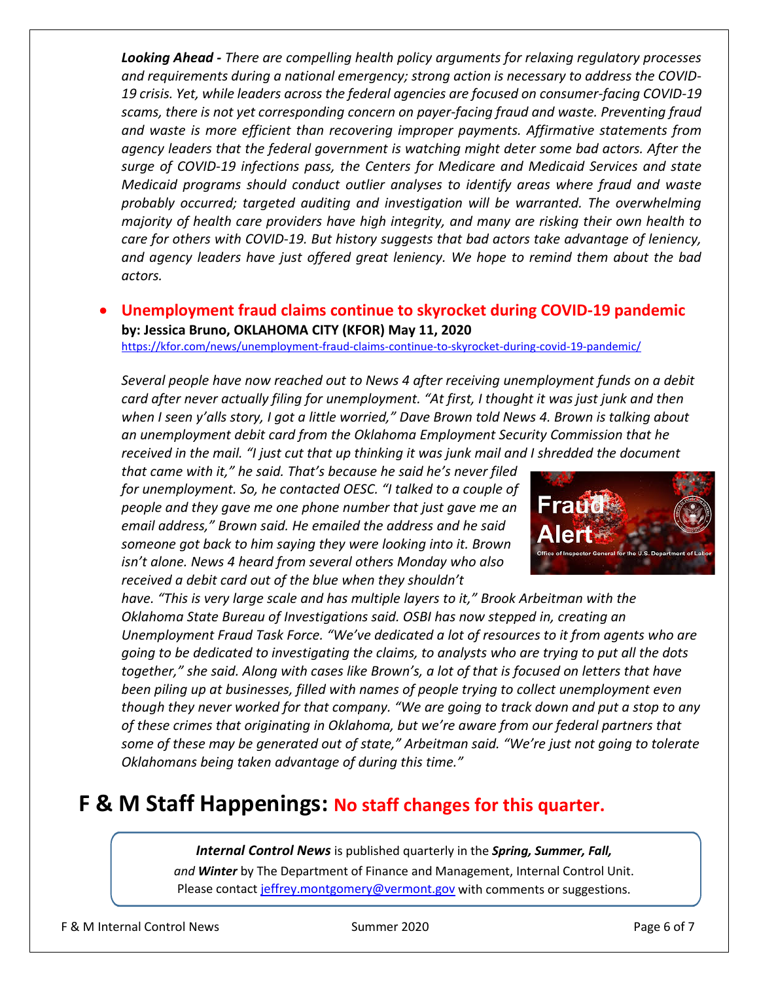*Looking Ahead - There are compelling health policy arguments for relaxing regulatory processes and requirements during a national emergency; strong action is necessary to address the COVID-19 crisis. Yet, while leaders across the federal agencies are focused on consumer-facing COVID-19 scams, there is not yet corresponding concern on payer-facing fraud and waste[. Preventing](https://www.cms.gov/blog/future-medicare-program-integrity) fraud and waste is more efficient than recovering improper payments. Affirmative statements from agency leaders that the federal government is watching might deter some bad actors. After the surge of COVID-19 infections pass, the Centers for Medicare and Medicaid Services and state Medicaid programs should conduct outlier analyses to identify areas where fraud and waste probably occurred; targeted auditing and investigation will be warranted. The overwhelming majority of health care providers have high integrity, and many are risking their own health to care for others with COVID-19. But history suggests that bad actors take advantage of leniency, and agency leaders have just offered great leniency. We hope to remind them about the bad actors.*

• **Unemployment fraud claims continue to skyrocket during COVID-19 pandemic by: [Jessica Bruno,](https://kfor.com/author/jessica-bruno/) OKLAHOMA CITY (KFOR) May 11, 2020** 

<https://kfor.com/news/unemployment-fraud-claims-continue-to-skyrocket-during-covid-19-pandemic/>

*Several people have now reached out to News 4 after receiving unemployment funds on a debit card after never actually filing for unemployment. "At first, I thought it was just junk and then when I seen y'alls story, I got a little worried," Dave Brown told News 4. Brown is talking about an unemployment debit card from the Oklahoma Employment Security Commission that he received in the mail. "I just cut that up thinking it was junk mail and I shredded the document* 

*that came with it," he said. That's because he said he's never filed for unemployment. So, he contacted OESC. "I talked to a couple of people and they gave me one phone number that just gave me an email address," Brown said. He emailed the address and he said someone got back to him saying they were looking into it. Brown isn't alone. News 4 heard from several others Monday who also received a debit card out of the blue when they shouldn't* 



*have. "This is very large scale and has multiple layers to it," Brook Arbeitman with the Oklahoma State Bureau of Investigations said. OSBI has now stepped in, creating an Unemployment Fraud Task Force. "We've dedicated a lot of resources to it from agents who are going to be dedicated to investigating the claims, to analysts who are trying to put all the dots together," she said. Along with cases like Brown's, a lot of that is focused on letters that have been piling up at businesses, filled with names of people trying to collect unemployment even though they never worked for that company. "We are going to track down and put a stop to any of these crimes that originating in Oklahoma, but we're aware from our federal partners that some of these may be generated out of state," Arbeitman said. "We're just not going to tolerate Oklahomans being taken advantage of during this time."*

### **F & M Staff Happenings: No staff changes for this quarter.**

*Internal Control News* is published quarterly in the *Spring, Summer, Fall, and Winter* by The Department of Finance and Management, Internal Control Unit. Please contact [jeffrey.montgomery@vermont.gov](mailto:Jeffrey.Montgomery@vermont.gov) with comments or suggestions.